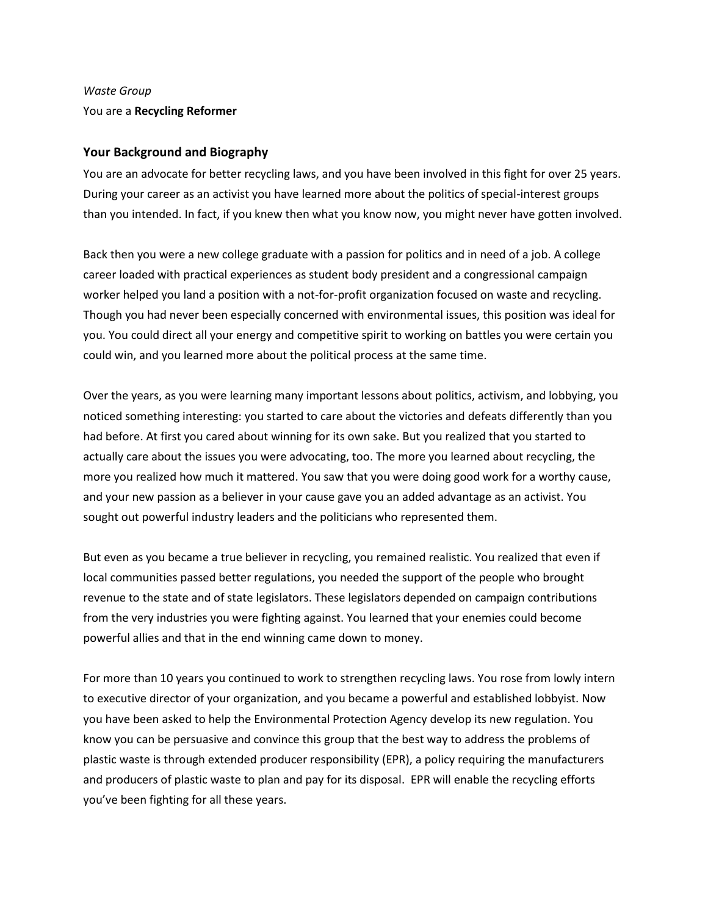# *Waste Group* You are a **Recycling Reformer**

## **Your Background and Biography**

You are an advocate for better recycling laws, and you have been involved in this fight for over 25 years. During your career as an activist you have learned more about the politics of special-interest groups than you intended. In fact, if you knew then what you know now, you might never have gotten involved.

Back then you were a new college graduate with a passion for politics and in need of a job. A college career loaded with practical experiences as student body president and a congressional campaign worker helped you land a position with a not-for-profit organization focused on waste and recycling. Though you had never been especially concerned with environmental issues, this position was ideal for you. You could direct all your energy and competitive spirit to working on battles you were certain you could win, and you learned more about the political process at the same time.

Over the years, as you were learning many important lessons about politics, activism, and lobbying, you noticed something interesting: you started to care about the victories and defeats differently than you had before. At first you cared about winning for its own sake. But you realized that you started to actually care about the issues you were advocating, too. The more you learned about recycling, the more you realized how much it mattered. You saw that you were doing good work for a worthy cause, and your new passion as a believer in your cause gave you an added advantage as an activist. You sought out powerful industry leaders and the politicians who represented them.

But even as you became a true believer in recycling, you remained realistic. You realized that even if local communities passed better regulations, you needed the support of the people who brought revenue to the state and of state legislators. These legislators depended on campaign contributions from the very industries you were fighting against. You learned that your enemies could become powerful allies and that in the end winning came down to money.

For more than 10 years you continued to work to strengthen recycling laws. You rose from lowly intern to executive director of your organization, and you became a powerful and established lobbyist. Now you have been asked to help the Environmental Protection Agency develop its new regulation. You know you can be persuasive and convince this group that the best way to address the problems of plastic waste is through extended producer responsibility (EPR), a policy requiring the manufacturers and producers of plastic waste to plan and pay for its disposal. EPR will enable the recycling efforts you've been fighting for all these years.